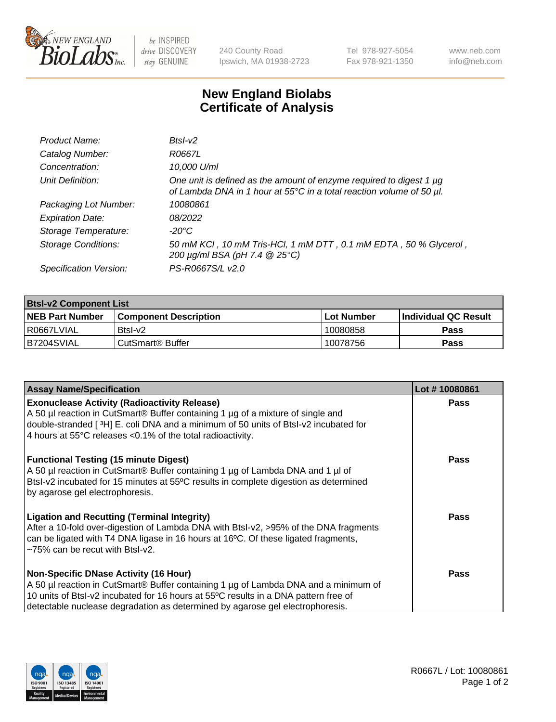

 $be$  INSPIRED drive DISCOVERY stay GENUINE

240 County Road Ipswich, MA 01938-2723 Tel 978-927-5054 Fax 978-921-1350 www.neb.com info@neb.com

## **New England Biolabs Certificate of Analysis**

| Product Name:              | $BtsI-v2$                                                                                                                                   |
|----------------------------|---------------------------------------------------------------------------------------------------------------------------------------------|
| Catalog Number:            | R0667L                                                                                                                                      |
| Concentration:             | 10,000 U/ml                                                                                                                                 |
| Unit Definition:           | One unit is defined as the amount of enzyme required to digest 1 µg<br>of Lambda DNA in 1 hour at 55°C in a total reaction volume of 50 µl. |
| Packaging Lot Number:      | 10080861                                                                                                                                    |
| <b>Expiration Date:</b>    | 08/2022                                                                                                                                     |
| Storage Temperature:       | $-20^{\circ}$ C                                                                                                                             |
| <b>Storage Conditions:</b> | 50 mM KCI, 10 mM Tris-HCI, 1 mM DTT, 0.1 mM EDTA, 50 % Glycerol,<br>200 µg/ml BSA (pH 7.4 @ 25°C)                                           |
| Specification Version:     | PS-R0667S/L v2.0                                                                                                                            |

| <b>Bisi-v2 Component List</b> |                              |              |                             |  |  |
|-------------------------------|------------------------------|--------------|-----------------------------|--|--|
| <b>NEB Part Number</b>        | <b>Component Description</b> | l Lot Number | <b>Individual QC Result</b> |  |  |
| R0667LVIAL                    | Btsl-v2                      | 10080858     | Pass                        |  |  |
| I B7204SVIAL                  | CutSmart® Buffer             | 10078756     | Pass                        |  |  |

| <b>Assay Name/Specification</b>                                                                                                                                                                                                                                                                             | Lot #10080861 |
|-------------------------------------------------------------------------------------------------------------------------------------------------------------------------------------------------------------------------------------------------------------------------------------------------------------|---------------|
| <b>Exonuclease Activity (Radioactivity Release)</b><br>A 50 µl reaction in CutSmart® Buffer containing 1 µg of a mixture of single and<br>double-stranded [3H] E. coli DNA and a minimum of 50 units of Btsl-v2 incubated for<br>4 hours at 55°C releases <0.1% of the total radioactivity.                 | <b>Pass</b>   |
| <b>Functional Testing (15 minute Digest)</b><br>A 50 µl reaction in CutSmart® Buffer containing 1 µg of Lambda DNA and 1 µl of<br>Btsl-v2 incubated for 15 minutes at 55°C results in complete digestion as determined<br>by agarose gel electrophoresis.                                                   | Pass          |
| <b>Ligation and Recutting (Terminal Integrity)</b><br>After a 10-fold over-digestion of Lambda DNA with Btsl-v2, >95% of the DNA fragments<br>can be ligated with T4 DNA ligase in 16 hours at 16°C. Of these ligated fragments,<br>$~1$ -75% can be recut with Btsl-v2.                                    | Pass          |
| <b>Non-Specific DNase Activity (16 Hour)</b><br>A 50 µl reaction in CutSmart® Buffer containing 1 µg of Lambda DNA and a minimum of<br>10 units of BtsI-v2 incubated for 16 hours at 55°C results in a DNA pattern free of<br>detectable nuclease degradation as determined by agarose gel electrophoresis. | Pass          |